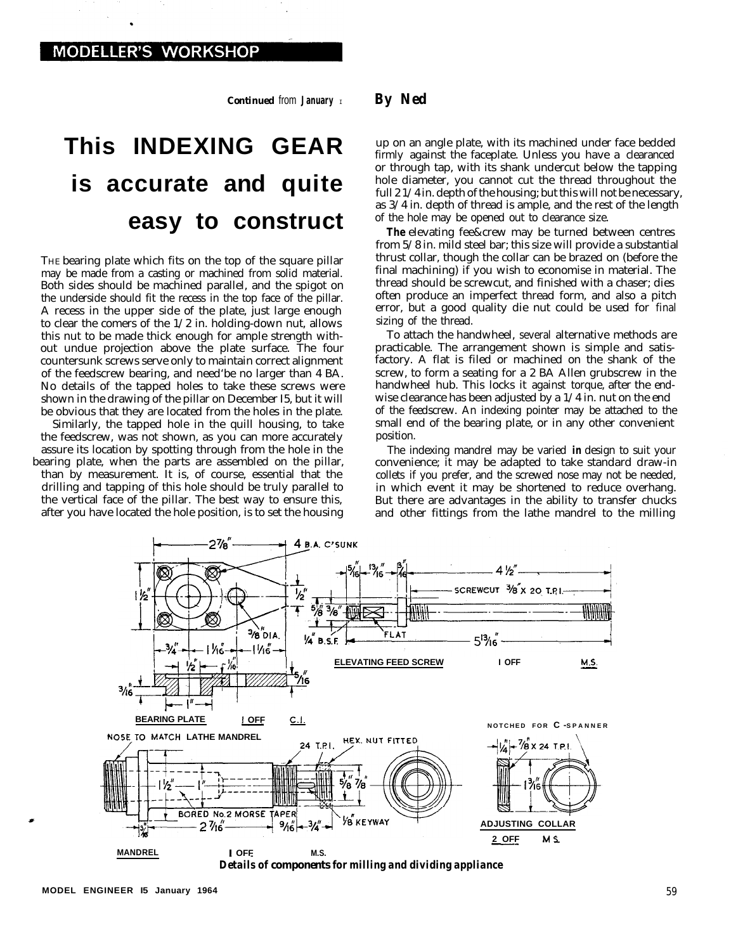*Continued from January*<sub>I</sub> *By Ned* 

## **This INDEXING GEAR is accurate and quite easy to construct**

THE bearing plate which fits on the top of the square pillar may be made from a casting or machined from solid material. Both sides should be machined parallel, and the spigot on the underside should fit the recess in the top face of the pillar. A recess in the upper side of the plate, just large enough to clear the comers of the 1/2 in. holding-down nut, allows this nut to be made thick enough for ample strength without undue projection above the plate surface. The four countersunk screws serve only to maintain correct alignment of the feedscrew bearing, and need'be no larger than 4 BA. No details of the tapped holes to take these screws were shown in the drawing of the pillar on December I5, but it will be obvious that they are located from the holes in the plate.

Similarly, the tapped hole in the quill housing, to take the feedscrew, was not shown, as you can more accurately assure its location by spotting through from the hole in the bearing plate, when the parts are assembled on the pillar, than by measurement. It is, of course, essential that the drilling and tapping of this hole should be truly parallel to the vertical face of the pillar. The best way to ensure this, after you have located the hole position, is to set the housing

up on an angle plate, with its machined under face bedded firmly against the faceplate. Unless you have a clearanced or through tap, with its shank undercut below the tapping hole diameter, you cannot cut the thread throughout the full 2 1/4 in. depth of the housing; but this will not be necessary, as 3/4 in. depth of thread is ample, and the rest of the length of the hole may be opened out to clearance size.

**The** elevating fee&crew may be turned between centres from 5/8 in. mild steel bar; this size will provide a substantial thrust collar, though the collar can be brazed on (before the final machining) if you wish to economise in material. The thread should be screwcut, and finished with a chaser; dies often produce an imperfect thread form, and also a pitch error, but a good quality die nut could be used for final sizing of the thread.

To attach the handwheel, several alternative methods are practicable. The arrangement shown is simple and satisfactory. A flat is filed or machined on the shank of the screw, to form a seating for a 2 BA Allen grubscrew in the handwheel hub. This locks it against torque, after the endwise clearance has been adjusted by a 1/4 in. nut on the end of the feedscrew. An indexing pointer may be attached to the small end of the bearing plate, or in any other convenient position.

The indexing mandrel may be varied *in* design to suit your convenience; it may be adapted to take standard draw-in collets if you prefer, and the screwed nose may not be needed, in which event it may be shortened to reduce overhang. But there are advantages in the ability to transfer chucks and other fittings from the lathe mandrel to the milling



*Details of components for milling and dividing appliance*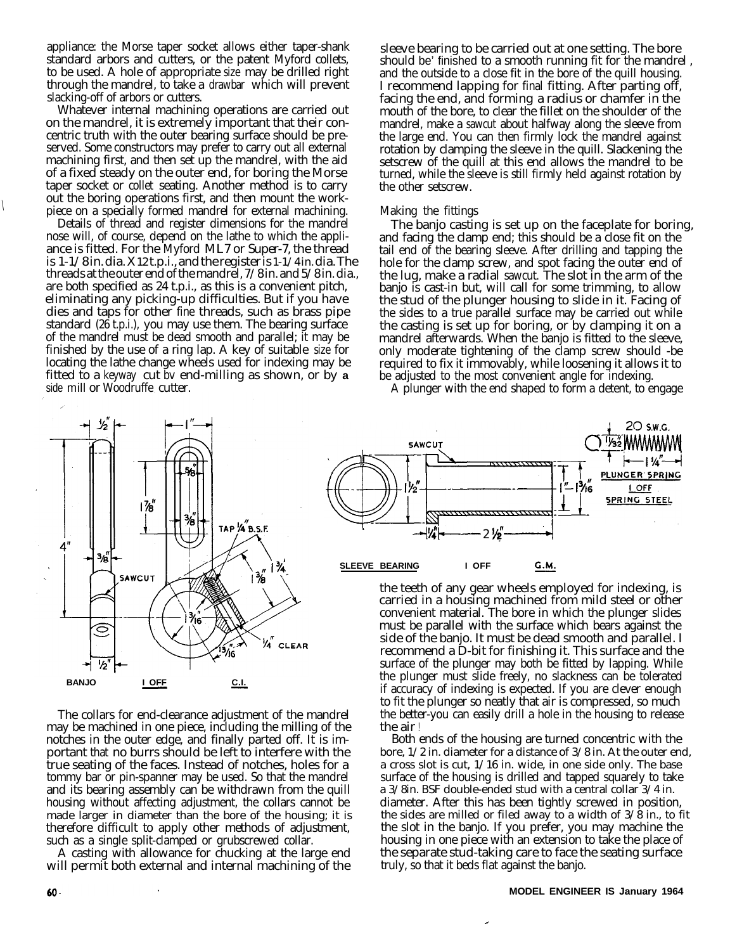appliance: the Morse taper socket allows either taper-shank standard arbors and cutters, or the patent Myford collets, to be used. A hole of appropriate size may be drilled right through the mandrel, to take a drawbar which will prevent slacking-off of arbors or cutters.

Whatever internal machining operations are carried out on the mandrel, it is extremely important that their concentric truth with the outer bearing surface should be preserved. Some constructors may prefer to carry out all external machining first, and then set up the mandrel, with the aid of a fixed steady on the outer end, for boring the Morse taper socket or collet seating. Another method is to carry out the boring operations first, and then mount the work-<br>piece on a specially formed mandrel for external machining.

Details of thread and register dimensions for the mandrel nose will, of course, depend on the lathe to which the appliance is fitted. For the Myford ML7 or Super-7, the thread is 1-1/8 in. dia. X 12 t.p.i., and the register is 1-1/4 in. dia. The threads at the outer end of the mandrel, 7/8 in. and 5/8 in. dia., are both specified as 24 t.p.i., as this is a convenient pitch, eliminating any picking-up difficulties. But if you have dies and taps for other fine threads, such as brass pipe standard (26 t.p.i.), you may use them. The bearing surface of the mandrel must be dead smooth and parallel; it may be finished by the use of a ring lap. A key of suitable size for locating the lathe change wheels used for indexing may be fitted to a keyway cut bv end-milling as shown, or by **a** side mill or Woodruffe cutter.

sleeve bearing to be carried out at one setting. The bore should be' finished to a smooth running fit for the mandrel , and the outside to a close fit in the bore of the quill housing. I recommend lapping for final fitting. After parting off, facing the end, and forming a radius or chamfer in the mouth of the bore, to clear the fillet on the shoulder of the mandrel, make a sawcut about halfway along the sleeve from the large end. You can then firmly lock the mandrel against rotation by clamping the sleeve in the quill. Slackening the setscrew of the quill at this end allows the mandrel to be turned, while the sleeve is still firmly held against rotation by the other setscrew.

## Making the fittings

The banjo casting is set up on the faceplate for boring, and facing the clamp end; this should be a close fit on the tail end of the bearing sleeve. After drilling and tapping the hole for the clamp screw, and spot facing the outer end of the lug, make a radial sawcut. The slot in the arm of the banjo is cast-in but, will call for some trimming, to allow the stud of the plunger housing to slide in it. Facing of the sides to a true parallel surface may be carried out while the casting is set up for boring, or by clamping it on a mandrel afterwards. When the banjo is fitted to the sleeve, only moderate tightening of the clamp screw should -be required to fix it immovably, while loosening it allows it to be adjusted to the most convenient angle for indexing.

A plunger with the end shaped to form a detent, to engage



The collars for end-clearance adjustment of the mandrel may be machined in one piece, including the milling of the notches in the outer edge, and finally parted off. It is important that no burrs should be left to interfere with the true seating of the faces. Instead of notches, holes for a tommy bar or pin-spanner may be used. So that the mandrel and its bearing assembly can be withdrawn from the quill housing without affecting adjustment, the collars cannot be made larger in diameter than the bore of the housing; it is therefore difficult to apply other methods of adjustment, such as a single split-clamped or grubscrewed collar.

A casting with allowance for chucking at the large end will permit both external and internal machining of the



the teeth of any gear wheels employed for indexing, is carried in a housing machined from mild steel or other convenient material. The bore in which the plunger slides must be parallel with the surface which bears against the side of the banjo. It must be dead smooth and parallel. I recommend a D-bit for finishing it. This surface and the surface of the plunger may both be fitted by lapping. While the plunger must slide freely, no slackness can be tolerated if accuracy of indexing is expected. If you are clever enough to fit the plunger so neatly that air is compressed, so much the better-you can easily drill a hole in the housing to release the air !

Both ends of the housing are turned concentric with the bore, 1/2 in. diameter for a distance of 3/8 in. At the outer end, a cross slot is cut, 1/16 in. wide, in one side only. The base surface of the housing is drilled and tapped squarely to take a 3/8in. BSF double-ended stud with a central collar 3/4 in. diameter. After this has been tightly screwed in position, the sides are milled or filed away to a width of  $3/\hat{8}$  in., to fit the slot in the banjo. If you prefer, you may machine the housing in one piece with an extension to take the place of the separate stud-taking care to face the seating surface truly, so that it beds flat against the banjo.